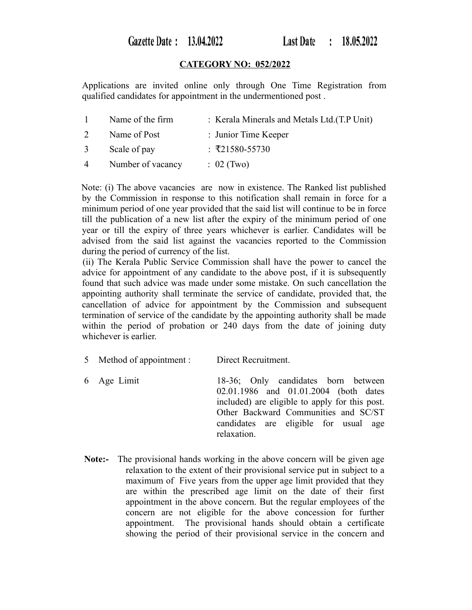Gazette Date: 13.04.2022

# **CATEGORY NO: 052/2022**

Applications are invited online only through One Time Registration from qualified candidates for appointment in the undermentioned post .

| $\mathbf{1}$   | Name of the firm  | : Kerala Minerals and Metals Ltd. (T.P Unit) |
|----------------|-------------------|----------------------------------------------|
| 2              | Name of Post      | : Junior Time Keeper                         |
| $\mathbf{3}$   | Scale of pay      | : ₹21580-55730                               |
| $\overline{4}$ | Number of vacancy | $102$ (Two)                                  |

Note: (i) The above vacancies are now in existence. The Ranked list published by the Commission in response to this notification shall remain in force for a minimum period of one year provided that the said list will continue to be in force till the publication of a new list after the expiry of the minimum period of one year or till the expiry of three years whichever is earlier. Candidates will be advised from the said list against the vacancies reported to the Commission during the period of currency of the list.

(ii) The Kerala Public Service Commission shall have the power to cancel the advice for appointment of any candidate to the above post, if it is subsequently found that such advice was made under some mistake. On such cancellation the appointing authority shall terminate the service of candidate, provided that, the cancellation of advice for appointment by the Commission and subsequent termination of service of the candidate by the appointing authority shall be made within the period of probation or 240 days from the date of joining duty whichever is earlier.

- 5 Method of appointment : Direct Recruitment.
- 6 Age Limit 18-36; Only candidates born between 02.01.1986 and 01.01.2004 (both dates included) are eligible to apply for this post. Other Backward Communities and SC/ST candidates are eligible for usual age relaxation.
- **Note:-** The provisional hands working in the above concern will be given age relaxation to the extent of their provisional service put in subject to a maximum of Five years from the upper age limit provided that they are within the prescribed age limit on the date of their first appointment in the above concern. But the regular employees of the concern are not eligible for the above concession for further appointment. The provisional hands should obtain a certificate showing the period of their provisional service in the concern and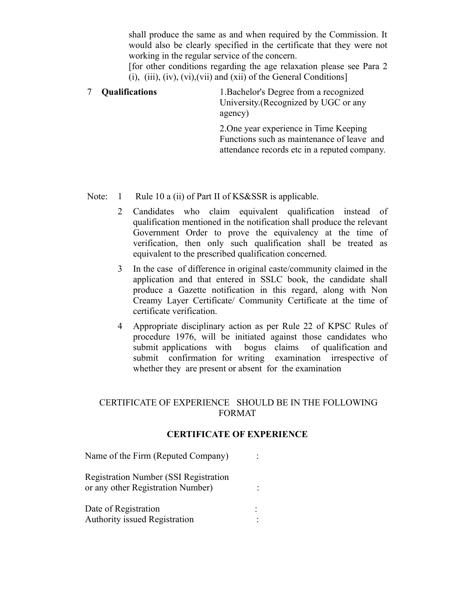shall produce the same as and when required by the Commission. It would also be clearly specified in the certificate that they were not working in the regular service of the concern.

[for other conditions regarding the age relaxation please see Para 2 (i), (iii), (iv), (vi), (vii) and (xii) of the General Conditions]

7 **Qualifications** 1.Bachelor's Degree from a recognized University.(Recognized by UGC or any agency)

> 2.One year experience in Time Keeping Functions such as maintenance of leave and attendance records etc in a reputed company.

Note: 1 Rule 10 a (ii) of Part II of KS&SSR is applicable.

- 2 Candidates who claim equivalent qualification instead of qualification mentioned in the notification shall produce the relevant Government Order to prove the equivalency at the time of verification, then only such qualification shall be treated as equivalent to the prescribed qualification concerned.
- 3 In the case of difference in original caste/community claimed in the application and that entered in SSLC book, the candidate shall produce a Gazette notification in this regard, along with Non Creamy Layer Certificate/ Community Certificate at the time of certificate verification.
- 4 Appropriate disciplinary action as per Rule 22 of KPSC Rules of procedure 1976, will be initiated against those candidates who submit applications with bogus claims of qualification and submit confirmation for writing examination irrespective of whether they are present or absent for the examination

# CERTIFICATE OF EXPERIENCE SHOULD BE IN THE FOLLOWING FORMAT

### **CERTIFICATE OF EXPERIENCE**

| Name of the Firm (Reputed Company)                                                |  |
|-----------------------------------------------------------------------------------|--|
| <b>Registration Number (SSI Registration</b><br>or any other Registration Number) |  |
| Date of Registration<br>Authority issued Registration                             |  |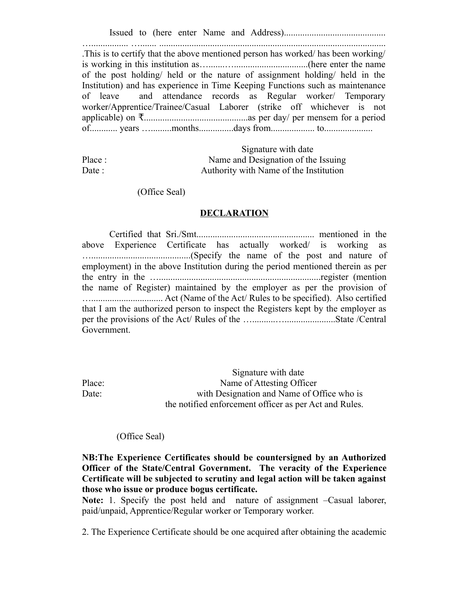Issued to (here enter Name and Address)............................................

…................ …....... .................................................................................................. .This is to certify that the above mentioned person has worked/ has been working/ is working in this institution as….......…................................(here enter the name of the post holding/ held or the nature of assignment holding/ held in the Institution) and has experience in Time Keeping Functions such as maintenance of leave and attendance records as Regular worker/ Temporary worker/Apprentice/Trainee/Casual Laborer (strike off whichever is not applicable) on .............................................as per day/ per mensem for a period ₹ of............ years ….........months...............days from................... to.....................

|        | Signature with date                    |
|--------|----------------------------------------|
| Place: | Name and Designation of the Issuing    |
| Date : | Authority with Name of the Institution |

(Office Seal)

#### **DECLARATION**

Certified that Sri./Smt................................................... mentioned in the above Experience Certificate has actually worked/ is working as …...........................................(Specify the name of the post and nature of employment) in the above Institution during the period mentioned therein as per the entry in the …......................................................................register (mention the name of Register) maintained by the employer as per the provision of …............................... Act (Name of the Act/ Rules to be specified). Also certified that I am the authorized person to inspect the Registers kept by the employer as per the provisions of the Act/ Rules of the …..........…......................State /Central Government.

 Signature with date Place: Name of Attesting Officer Date: with Designation and Name of Office who is the notified enforcement officer as per Act and Rules.

(Office Seal)

**NB:The Experience Certificates should be countersigned by an Authorized Officer of the State/Central Government. The veracity of the Experience Certificate will be subjected to scrutiny and legal action will be taken against those who issue or produce bogus certificate.**

**Note:** 1. Specify the post held and nature of assignment –Casual laborer, paid/unpaid, Apprentice/Regular worker or Temporary worker.

2. The Experience Certificate should be one acquired after obtaining the academic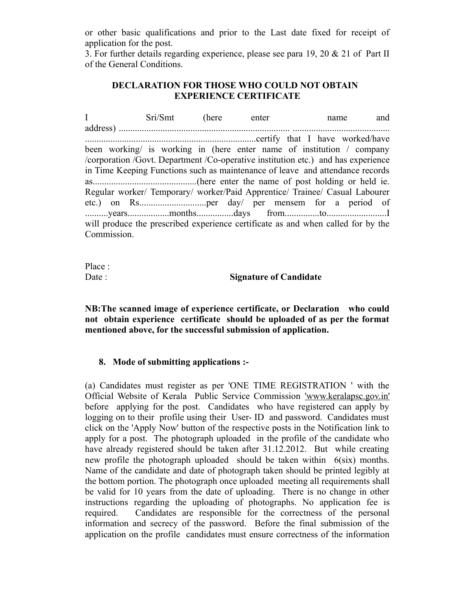or other basic qualifications and prior to the Last date fixed for receipt of application for the post.

3. For further details regarding experience, please see para 19, 20 & 21 of Part II of the General Conditions.

# **DECLARATION FOR THOSE WHO COULD NOT OBTAIN EXPERIENCE CERTIFICATE**

I Sri/Smt (here enter name and address) .......................................................................... .......................................... ..........................................................................certify that I have worked/have been working/ is working in (here enter name of institution / company /corporation /Govt. Department /Co-operative institution etc.) and has experience in Time Keeping Functions such as maintenance of leave and attendance records as.............................................(here enter the name of post holding or held ie. Regular worker/ Temporary/ worker/Paid Apprentice/ Trainee/ Casual Labourer etc.) on Rs.............................per day/ per mensem for a period of ..........years..................months................days from...............to..........................I will produce the prescribed experience certificate as and when called for by the Commission.

Place :

### Date : **Signature of Candidate**

**NB:The scanned image of experience certificate, or Declaration who could not obtain experience certificate should be uploaded of as per the format mentioned above, for the successful submission of application.**

# **8. Mode of submitting applications :-**

(a) Candidates must register as per 'ONE TIME REGISTRATION ' with the Official Website of Kerala Public Service Commission 'www.keralapsc.gov.in' before applying for the post. Candidates who have registered can apply by logging on to their profile using their User- ID and password. Candidates must click on the 'Apply Now' button of the respective posts in the Notification link to apply for a post. The photograph uploaded in the profile of the candidate who have already registered should be taken after 31.12.2012. But while creating new profile the photograph uploaded should be taken within 6(six) months. Name of the candidate and date of photograph taken should be printed legibly at the bottom portion. The photograph once uploaded meeting all requirements shall be valid for 10 years from the date of uploading. There is no change in other instructions regarding the uploading of photographs. No application fee is required. Candidates are responsible for the correctness of the personal information and secrecy of the password. Before the final submission of the application on the profile candidates must ensure correctness of the information